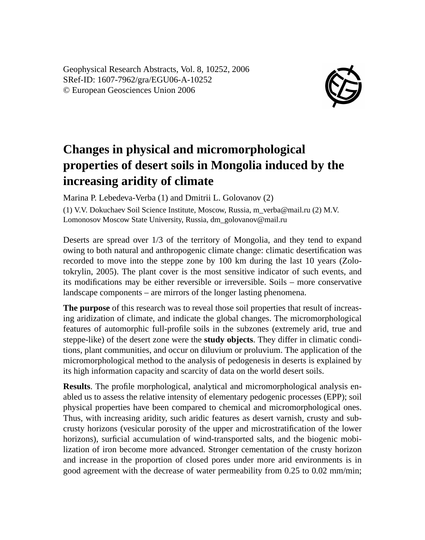Geophysical Research Abstracts, Vol. 8, 10252, 2006 SRef-ID: 1607-7962/gra/EGU06-A-10252 © European Geosciences Union 2006



## **Changes in physical and micromorphological properties of desert soils in Mongolia induced by the increasing aridity of climate**

Marina P. Lebedeva-Verba (1) and Dmitrii L. Golovanov (2)

(1) V.V. Dokuchaev Soil Science Institute, Moscow, Russia, m\_verba@mail.ru (2) M.V. Lomonosov Moscow State University, Russia, dm\_golovanov@mail.ru

Deserts are spread over 1/3 of the territory of Mongolia, and they tend to expand owing to both natural and anthropogenic climate change: climatic desertification was recorded to move into the steppe zone by 100 km during the last 10 years (Zolotokrylin, 2005). The plant cover is the most sensitive indicator of such events, and its modifications may be either reversible or irreversible. Soils – more conservative landscape components – are mirrors of the longer lasting phenomena.

**The purpose** of this research was to reveal those soil properties that result of increasing aridization of climate, and indicate the global changes. The micromorphological features of automorphic full-profile soils in the subzones (extremely arid, true and steppe-like) of the desert zone were the **study objects**. They differ in climatic conditions, plant communities, and occur on diluvium or proluvium. The application of the micromorphological method to the analysis of pedogenesis in deserts is explained by its high information capacity and scarcity of data on the world desert soils.

**Results**. The profile morphological, analytical and micromorphological analysis enabled us to assess the relative intensity of elementary pedogenic processes (EPP); soil physical properties have been compared to chemical and micromorphological ones. Thus, with increasing aridity, such aridic features as desert varnish, crusty and subcrusty horizons (vesicular porosity of the upper and microstratification of the lower horizons), surficial accumulation of wind-transported salts, and the biogenic mobilization of iron become more advanced. Stronger cementation of the crusty horizon and increase in the proportion of closed pores under more arid environments is in good agreement with the decrease of water permeability from 0.25 to 0.02 mm/min;